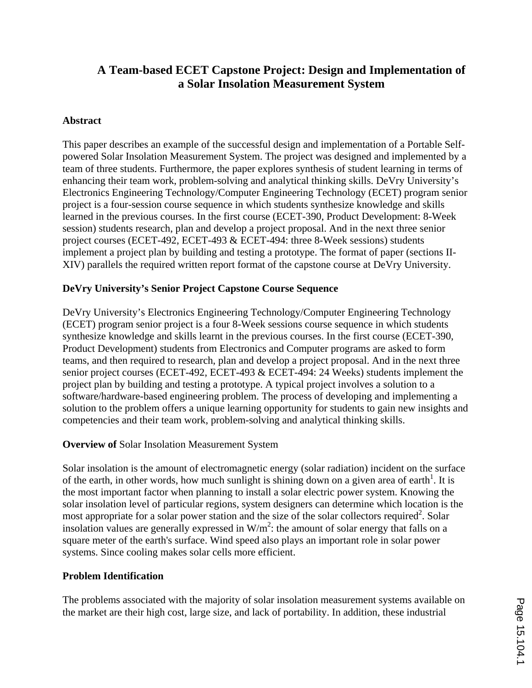# **A Team-based ECET Capstone Project: Design and Implementation of a Solar Insolation Measurement System**

### **Abstract**

This paper describes an example of the successful design and implementation of a Portable Selfpowered Solar Insolation Measurement System. The project was designed and implemented by a team of three students. Furthermore, the paper explores synthesis of student learning in terms of enhancing their team work, problem-solving and analytical thinking skills. DeVry University's Electronics Engineering Technology/Computer Engineering Technology (ECET) program senior project is a four-session course sequence in which students synthesize knowledge and skills learned in the previous courses. In the first course (ECET-390, Product Development: 8-Week session) students research, plan and develop a project proposal. And in the next three senior project courses (ECET-492, ECET-493 & ECET-494: three 8-Week sessions) students implement a project plan by building and testing a prototype. The format of paper (sections II-XIV) parallels the required written report format of the capstone course at DeVry University.

#### **DeVry University's Senior Project Capstone Course Sequence**

DeVry University's Electronics Engineering Technology/Computer Engineering Technology (ECET) program senior project is a four 8-Week sessions course sequence in which students synthesize knowledge and skills learnt in the previous courses. In the first course (ECET-390, Product Development) students from Electronics and Computer programs are asked to form teams, and then required to research, plan and develop a project proposal. And in the next three senior project courses (ECET-492, ECET-493 & ECET-494: 24 Weeks) students implement the project plan by building and testing a prototype. A typical project involves a solution to a software/hardware-based engineering problem. The process of developing and implementing a solution to the problem offers a unique learning opportunity for students to gain new insights and competencies and their team work, problem-solving and analytical thinking skills.

### **Overview of** Solar Insolation Measurement System

Solar insolation is the amount of electromagnetic energy (solar radiation) incident on the surface of the earth, in other words, how much sunlight is shining down on a given area of earth<sup>1</sup>. It is the most important factor when planning to install a solar electric power system. Knowing the solar insolation level of particular regions, system designers can determine which location is the most appropriate for a solar power station and the size of the solar collectors required<sup>2</sup>. Solar insolation values are generally expressed in  $W/m^2$ : the amount of solar energy that falls on a square meter of the earth's surface. Wind speed also plays an important role in solar power systems. Since cooling makes solar cells more efficient.

#### **Problem Identification**

The problems associated with the majority of solar insolation measurement systems available on the market are their high cost, large size, and lack of portability. In addition, these industrial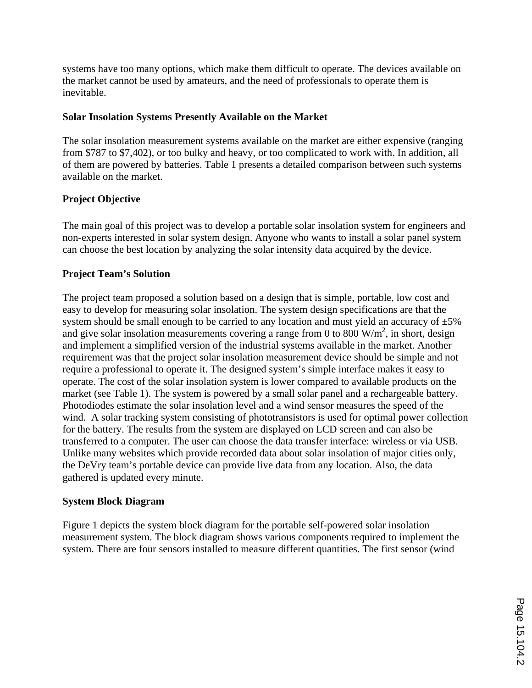systems have too many options, which make them difficult to operate. The devices available on the market cannot be used by amateurs, and the need of professionals to operate them is inevitable.

### **Solar Insolation Systems Presently Available on the Market**

The solar insolation measurement systems available on the market are either expensive (ranging from \$787 to \$7,402), or too bulky and heavy, or too complicated to work with. In addition, all of them are powered by batteries. Table 1 presents a detailed comparison between such systems available on the market.

#### **Project Objective**

The main goal of this project was to develop a portable solar insolation system for engineers and non-experts interested in solar system design. Anyone who wants to install a solar panel system can choose the best location by analyzing the solar intensity data acquired by the device.

#### **Project Team's Solution**

The project team proposed a solution based on a design that is simple, portable, low cost and easy to develop for measuring solar insolation. The system design specifications are that the system should be small enough to be carried to any location and must yield an accuracy of  $\pm 5\%$ and give solar insolation measurements covering a range from 0 to 800  $W/m<sup>2</sup>$ , in short, design and implement a simplified version of the industrial systems available in the market. Another requirement was that the project solar insolation measurement device should be simple and not require a professional to operate it. The designed system's simple interface makes it easy to operate. The cost of the solar insolation system is lower compared to available products on the market (see Table 1). The system is powered by a small solar panel and a rechargeable battery. Photodiodes estimate the solar insolation level and a wind sensor measures the speed of the wind. A solar tracking system consisting of phototransistors is used for optimal power collection for the battery. The results from the system are displayed on LCD screen and can also be transferred to a computer. The user can choose the data transfer interface: wireless or via USB. Unlike many websites which provide recorded data about solar insolation of major cities only, the DeVry team's portable device can provide live data from any location. Also, the data gathered is updated every minute.

#### **System Block Diagram**

Figure 1 depicts the system block diagram for the portable self-powered solar insolation measurement system. The block diagram shows various components required to implement the system. There are four sensors installed to measure different quantities. The first sensor (wind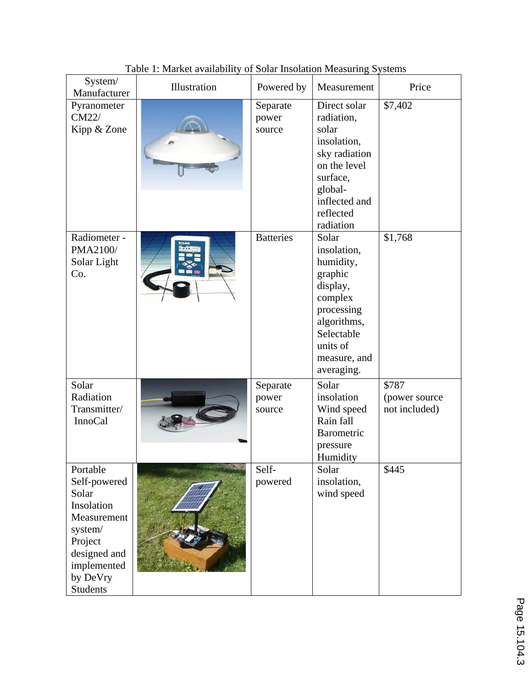| System/<br>Manufacturer                                                                                                                            | Illustration | Powered by                  | Measurement                                                                                                                                              | Price                                   |
|----------------------------------------------------------------------------------------------------------------------------------------------------|--------------|-----------------------------|----------------------------------------------------------------------------------------------------------------------------------------------------------|-----------------------------------------|
| Pyranometer<br>CM22/<br>Kipp & Zone                                                                                                                |              | Separate<br>power<br>source | Direct solar<br>radiation,<br>solar<br>insolation,<br>sky radiation<br>on the level<br>surface,<br>global-<br>inflected and<br>reflected<br>radiation    | \$7,402                                 |
| Radiometer -<br>PMA2100/<br>Solar Light<br>Co.                                                                                                     |              | <b>Batteries</b>            | Solar<br>insolation,<br>humidity,<br>graphic<br>display,<br>complex<br>processing<br>algorithms,<br>Selectable<br>units of<br>measure, and<br>averaging. | \$1,768                                 |
| Solar<br>Radiation<br>Transmitter/<br><b>InnoCal</b>                                                                                               |              | Separate<br>power<br>source | Solar<br>insolation<br>Wind speed<br>Rain fall<br>Barometric<br>pressure<br>Humidity                                                                     | \$787<br>(power source<br>not included) |
| Portable<br>Self-powered<br>Solar<br>Insolation<br>Measurement<br>system/<br>Project<br>designed and<br>implemented<br>by DeVry<br><b>Students</b> |              | Self-<br>powered            | Solar<br>insolation,<br>wind speed                                                                                                                       | \$445                                   |

Table 1: Market availability of Solar Insolation Measuring Systems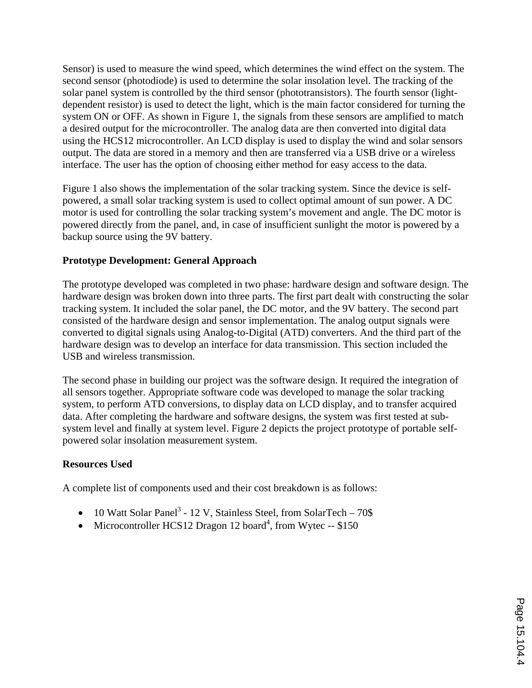Sensor) is used to measure the wind speed, which determines the wind effect on the system. The second sensor (photodiode) is used to determine the solar insolation level. The tracking of the solar panel system is controlled by the third sensor (phototransistors). The fourth sensor (lightdependent resistor) is used to detect the light, which is the main factor considered for turning the system ON or OFF. As shown in Figure 1, the signals from these sensors are amplified to match a desired output for the microcontroller. The analog data are then converted into digital data using the HCS12 microcontroller. An LCD display is used to display the wind and solar sensors output. The data are stored in a memory and then are transferred via a USB drive or a wireless interface. The user has the option of choosing either method for easy access to the data.

Figure 1 also shows the implementation of the solar tracking system. Since the device is selfpowered, a small solar tracking system is used to collect optimal amount of sun power. A DC motor is used for controlling the solar tracking system's movement and angle. The DC motor is powered directly from the panel, and, in case of insufficient sunlight the motor is powered by a backup source using the 9V battery.

### **Prototype Development: General Approach**

The prototype developed was completed in two phase: hardware design and software design. The hardware design was broken down into three parts. The first part dealt with constructing the solar tracking system. It included the solar panel, the DC motor, and the 9V battery. The second part consisted of the hardware design and sensor implementation. The analog output signals were converted to digital signals using Analog-to-Digital (ATD) converters. And the third part of the hardware design was to develop an interface for data transmission. This section included the USB and wireless transmission.

The second phase in building our project was the software design. It required the integration of all sensors together. Appropriate software code was developed to manage the solar tracking system, to perform ATD conversions, to display data on LCD display, and to transfer acquired data. After completing the hardware and software designs, the system was first tested at subsystem level and finally at system level. Figure 2 depicts the project prototype of portable selfpowered solar insolation measurement system.

#### **Resources Used**

A complete list of components used and their cost breakdown is as follows:

- $\bullet$  10 Watt Solar Panel<sup>3</sup> 12 V, Stainless Steel, from SolarTech 70\$
- Microcontroller HCS12 Dragon 12 board<sup>4</sup>, from Wytec -- \$150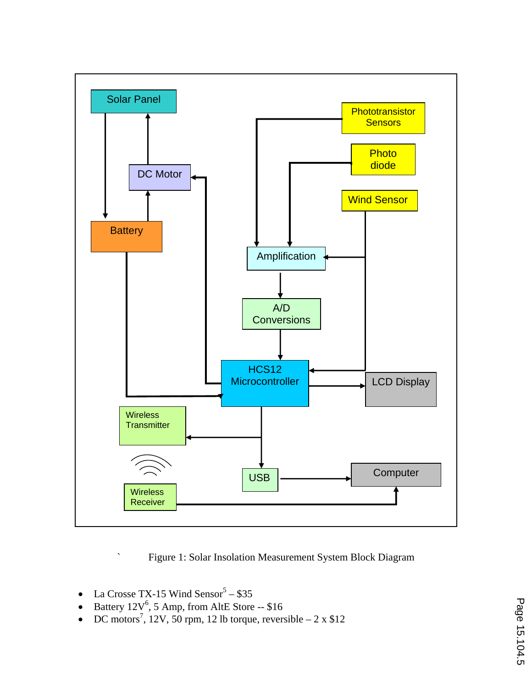

` Figure 1: Solar Insolation Measurement System Block Diagram

- La Crosse TX-15 Wind Sensor<sup>5</sup> \$35
- Battery  $12V^6$ , 5 Amp, from AltE Store -- \$16
- DC motors<sup>7</sup>, 12V, 50 rpm, 12 lb torque, reversible  $-2 \times \$12$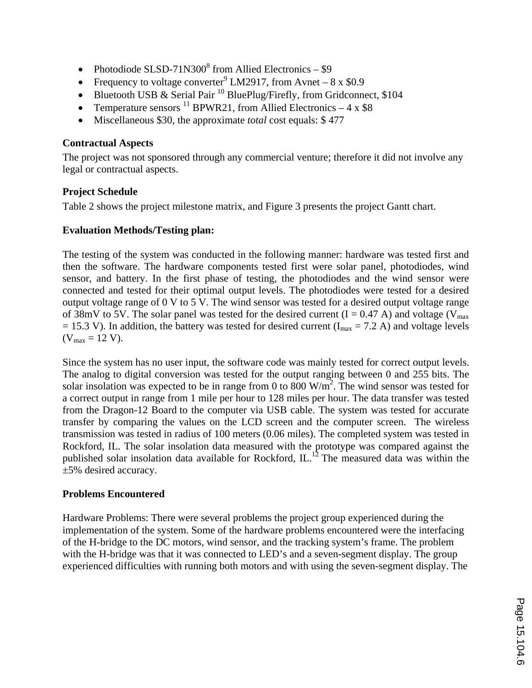- Photodiode SLSD-71N300 $^8$  from Allied Electronics \$9
- Frequency to voltage converter<sup>9</sup> LM2917, from Avnet  $8 \times \$0.9$
- Bluetooth USB & Serial Pair<sup>10</sup> BluePlug/Firefly, from Gridconnect, \$104
- Temperature sensors  $^{11}$  BPWR21, from Allied Electronics 4 x \$8
- Miscellaneous \$30, the approximate *total* cost equals: \$ 477

### **Contractual Aspects**

The project was not sponsored through any commercial venture; therefore it did not involve any legal or contractual aspects.

### **Project Schedule**

Table 2 shows the project milestone matrix, and Figure 3 presents the project Gantt chart.

### **Evaluation Methods/Testing plan:**

The testing of the system was conducted in the following manner: hardware was tested first and then the software. The hardware components tested first were solar panel, photodiodes, wind sensor, and battery. In the first phase of testing, the photodiodes and the wind sensor were connected and tested for their optimal output levels. The photodiodes were tested for a desired output voltage range of 0 V to 5 V. The wind sensor was tested for a desired output voltage range of 38mV to 5V. The solar panel was tested for the desired current  $(I = 0.47 A)$  and voltage (V<sub>max</sub>)  $= 15.3$  V). In addition, the battery was tested for desired current (I<sub>max</sub> = 7.2 A) and voltage levels  $(V_{max} = 12 V).$ 

Since the system has no user input, the software code was mainly tested for correct output levels. The analog to digital conversion was tested for the output ranging between 0 and 255 bits. The solar insolation was expected to be in range from 0 to 800  $W/m^2$ . The wind sensor was tested for a correct output in range from 1 mile per hour to 128 miles per hour. The data transfer was tested from the Dragon-12 Board to the computer via USB cable. The system was tested for accurate transfer by comparing the values on the LCD screen and the computer screen. The wireless transmission was tested in radius of 100 meters (0.06 miles). The completed system was tested in Rockford, IL. The solar insolation data measured with the prototype was compared against the published solar insolation data available for Rockford,  $IL<sup>12</sup>$  The measured data was within the ±5% desired accuracy.

## **Problems Encountered**

Hardware Problems: There were several problems the project group experienced during the implementation of the system. Some of the hardware problems encountered were the interfacing of the H-bridge to the DC motors, wind sensor, and the tracking system's frame. The problem with the H-bridge was that it was connected to LED's and a seven-segment display. The group experienced difficulties with running both motors and with using the seven-segment display. The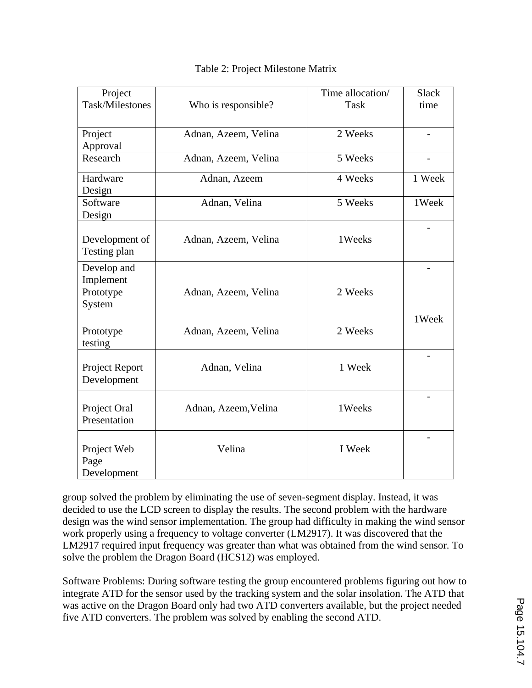| Project              |                      | Time allocation/ | <b>Slack</b> |
|----------------------|----------------------|------------------|--------------|
| Task/Milestones      | Who is responsible?  | <b>Task</b>      | time         |
|                      |                      |                  |              |
| Project              | Adnan, Azeem, Velina | 2 Weeks          |              |
|                      |                      |                  |              |
| Approval<br>Research |                      | 5 Weeks          |              |
|                      | Adnan, Azeem, Velina |                  |              |
| Hardware             | Adnan, Azeem         | 4 Weeks          | 1 Week       |
| Design               |                      |                  |              |
| Software             | Adnan, Velina        | 5 Weeks          | 1Week        |
| Design               |                      |                  |              |
|                      |                      |                  |              |
| Development of       | Adnan, Azeem, Velina | 1Weeks           |              |
| Testing plan         |                      |                  |              |
| Develop and          |                      |                  |              |
|                      |                      |                  |              |
| Implement            |                      |                  |              |
| Prototype            | Adnan, Azeem, Velina | 2 Weeks          |              |
| System               |                      |                  |              |
|                      |                      |                  | 1Week        |
| Prototype            | Adnan, Azeem, Velina | 2 Weeks          |              |
| testing              |                      |                  |              |
|                      |                      |                  |              |
| Project Report       | Adnan, Velina        | 1 Week           |              |
| Development          |                      |                  |              |
|                      |                      |                  |              |
| Project Oral         | Adnan, Azeem, Velina | 1Weeks           |              |
| Presentation         |                      |                  |              |
|                      |                      |                  |              |
|                      |                      |                  |              |
| Project Web          | Velina               | I Week           |              |
| Page                 |                      |                  |              |
| Development          |                      |                  |              |

### Table 2: Project Milestone Matrix

group solved the problem by eliminating the use of seven-segment display. Instead, it was decided to use the LCD screen to display the results. The second problem with the hardware design was the wind sensor implementation. The group had difficulty in making the wind sensor work properly using a frequency to voltage converter (LM2917). It was discovered that the LM2917 required input frequency was greater than what was obtained from the wind sensor. To solve the problem the Dragon Board (HCS12) was employed.

Software Problems: During software testing the group encountered problems figuring out how to integrate ATD for the sensor used by the tracking system and the solar insolation. The ATD that was active on the Dragon Board only had two ATD converters available, but the project needed five ATD converters. The problem was solved by enabling the second ATD.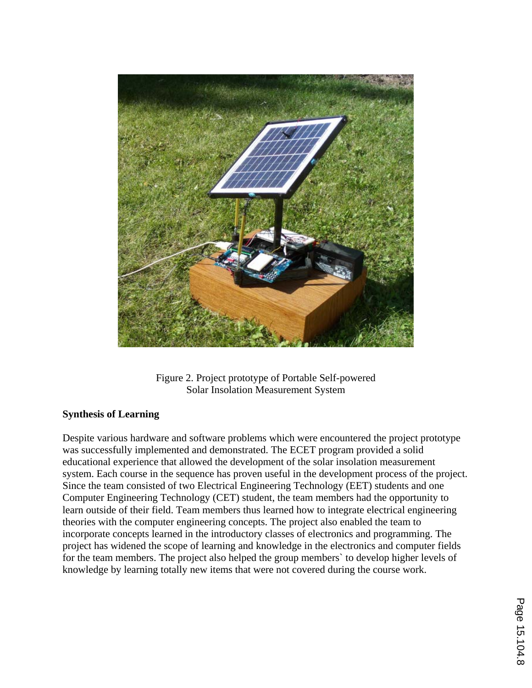

Figure 2. Project prototype of Portable Self-powered Solar Insolation Measurement System

#### **Synthesis of Learning**

Despite various hardware and software problems which were encountered the project prototype was successfully implemented and demonstrated. The ECET program provided a solid educational experience that allowed the development of the solar insolation measurement system. Each course in the sequence has proven useful in the development process of the project. Since the team consisted of two Electrical Engineering Technology (EET) students and one Computer Engineering Technology (CET) student, the team members had the opportunity to learn outside of their field. Team members thus learned how to integrate electrical engineering theories with the computer engineering concepts. The project also enabled the team to incorporate concepts learned in the introductory classes of electronics and programming. The project has widened the scope of learning and knowledge in the electronics and computer fields for the team members. The project also helped the group members` to develop higher levels of knowledge by learning totally new items that were not covered during the course work.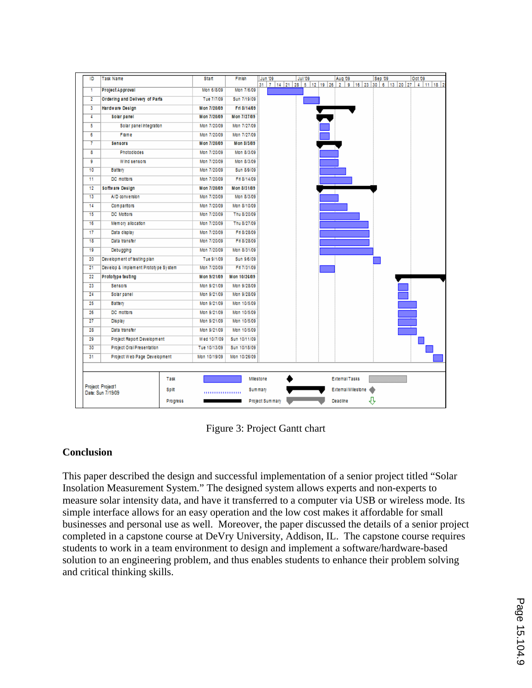

Figure 3: Project Gantt chart

## **Conclusion**

This paper described the design and successful implementation of a senior project titled "Solar Insolation Measurement System." The designed system allows experts and non-experts to measure solar intensity data, and have it transferred to a computer via USB or wireless mode. Its simple interface allows for an easy operation and the low cost makes it affordable for small businesses and personal use as well. Moreover, the paper discussed the details of a senior project completed in a capstone course at DeVry University, Addison, IL. The capstone course requires students to work in a team environment to design and implement a software/hardware-based solution to an engineering problem, and thus enables students to enhance their problem solving and critical thinking skills.